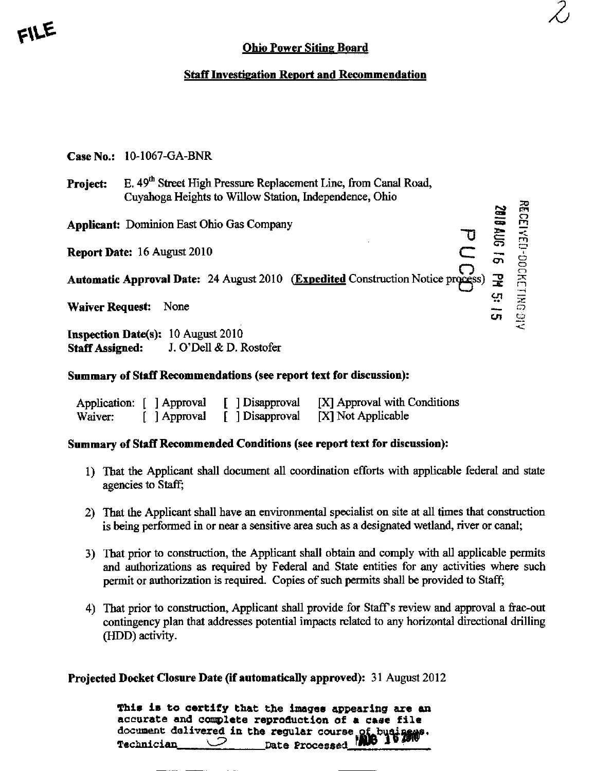## Ohio Power Siting Board

 $\mathcal{Z}_{\mathcal{C}}$ 

**NEOFIVED-DOCKETING 91:** 

C7 – 1

en ™

## Staff Investigation Report and Recommendation

| <b>Case No.: 10-1067-GA-BNR</b> |
|---------------------------------|
|---------------------------------|

| Project: | E. 49 <sup>th</sup> Street High Pressure Replacement Line, from Canal Road,<br>Cuyahoga Heights to Willow Station, Independence, Ohio |  |
|----------|---------------------------------------------------------------------------------------------------------------------------------------|--|
|          | <b>Applicant: Dominion East Ohio Gas Company</b>                                                                                      |  |

**Report Date:** 16 August 2010 **C** 

Automatic Approval Date: 24 August 2010 (Expedited Construction Notice process)

Waiver Request: None

Inspection Date(s):  $10$  August  $2010$ Staff Assigned: J. O'Dell & D. Rostofer

## Summary of Staff Recommendations (see report text for discussion):

|         | Application: [ ] Approval | [ ] Disapproval | [X] Approval with Conditions |
|---------|---------------------------|-----------------|------------------------------|
| Waiver: | [ ] Approval              | [ ] Disapproval | [X] Not Applicable           |

## Summary of Staff Recommended Conditions (see report text for discussion):

- 1) That the Applicant shall document all coordination efforts with applicable federal and state agencies to Staff;
- 2) That the Applicant shall have an environmental specialist on site at all times that construction is being performed in or near a sensitive area such as a designated wetland, river or canal;
- 3) That prior to construction, the Applicant shall obtain and comply with all applicable permits and authorizations as required by Federal and State entities for any activities where such permit or authorization is required. Copies of such permits shall be provided to Staff;
- 4) That prior to construction. Applicant shall provide for Staffs review and approval a frac-out contingency plan that addresses potential impacts related to any horizontal directional drilling (HDD) activity.

Projected Docket Closure Date (if automatically approved): 31 August 2012

| This is to certify that the images appearing are an |
|-----------------------------------------------------|
| accurate and complete reproduction of a case file   |
|                                                     |
|                                                     |